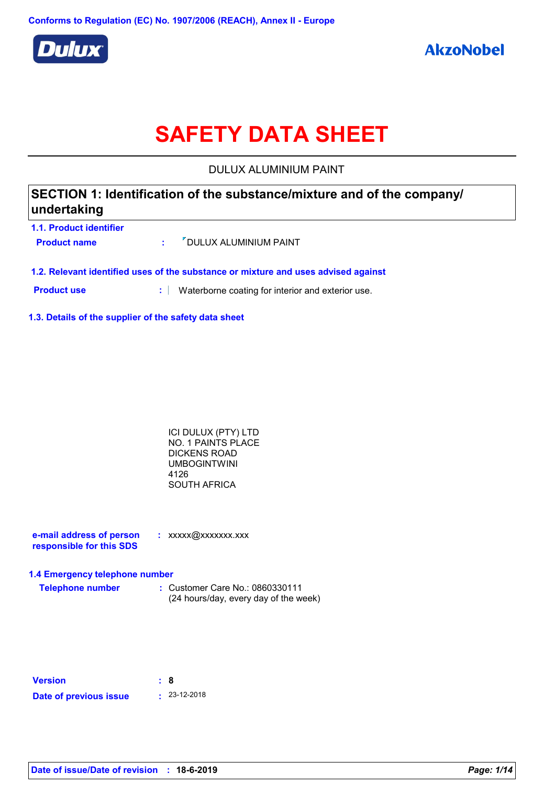

# **SAFETY DATA SHEET**

DULUX ALUMINIUM PAINT

| SECTION 1: Identification of the substance/mixture and of the company/ |  |
|------------------------------------------------------------------------|--|
| undertaking                                                            |  |
| 1.1. Product identifier                                                |  |

| <b>Product name</b> | OULUX ALUMINIUM PAINT |
|---------------------|-----------------------|
|                     |                       |

**1.2. Relevant identified uses of the substance or mixture and uses advised against**

**Product use <b>:** Waterborne coating for interior and exterior use.

**1.3. Details of the supplier of the safety data sheet**

ICI DULUX (PTY) LTD NO. 1 PAINTS PLACE DICKENS ROAD UMBOGINTWINI 4126 SOUTH AFRICA

**e-mail address of person responsible for this SDS :** xxxxx@xxxxxxx.xxx

#### **1.4 Emergency telephone number**

**Telephone number :** Customer Care No.: 0860330111 (24 hours/day, every day of the week)

| <b>Version</b>         | : 8 |                    |
|------------------------|-----|--------------------|
| Date of previous issue |     | $\cdot$ 23-12-2018 |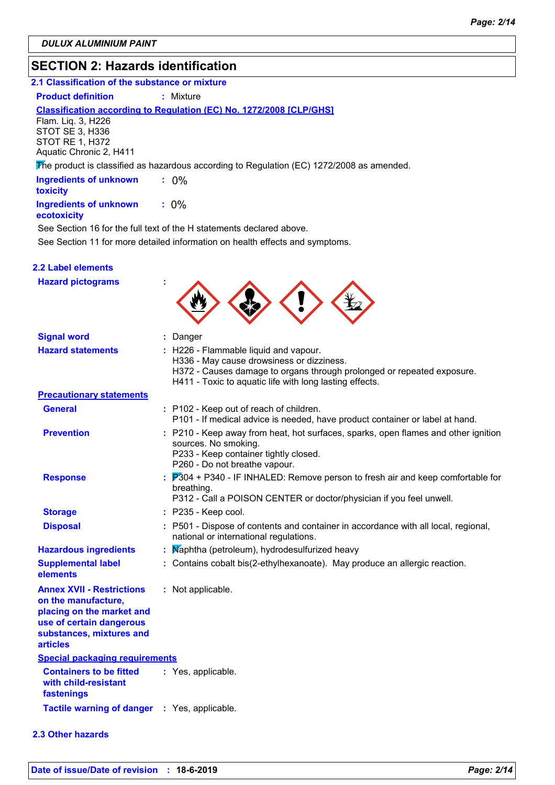### **SECTION 2: Hazards identification**

### **2.1 Classification of the substance or mixture**

**Product definition : Mixture** 

#### **Classification according to Regulation (EC) No. 1272/2008 [CLP/GHS]**

Flam. Liq. 3, H226 STOT SE 3, H336 STOT RE 1, H372 Aquatic Chronic 2, H411

The product is classified as hazardous according to Regulation (EC) 1272/2008 as amended.

| <b>Ingredients of unknown</b><br>toxicity |         |
|-------------------------------------------|---------|
| <b>Ingredients of unknown</b>             | $: 0\%$ |

### **ecotoxicity**

See Section 11 for more detailed information on health effects and symptoms. See Section 16 for the full text of the H statements declared above.

|  | <b>2.2 Label elements</b> |  |
|--|---------------------------|--|
|  |                           |  |

| <b>Hazard pictograms</b>                                                                                                                                        |                                                                                                                                                                                                                         |
|-----------------------------------------------------------------------------------------------------------------------------------------------------------------|-------------------------------------------------------------------------------------------------------------------------------------------------------------------------------------------------------------------------|
| <b>Signal word</b>                                                                                                                                              | : Danger                                                                                                                                                                                                                |
| <b>Hazard statements</b>                                                                                                                                        | : H226 - Flammable liquid and vapour.<br>H336 - May cause drowsiness or dizziness.<br>H372 - Causes damage to organs through prolonged or repeated exposure.<br>H411 - Toxic to aquatic life with long lasting effects. |
| <b>Precautionary statements</b>                                                                                                                                 |                                                                                                                                                                                                                         |
| <b>General</b>                                                                                                                                                  | : P102 - Keep out of reach of children.<br>P101 - If medical advice is needed, have product container or label at hand.                                                                                                 |
| <b>Prevention</b>                                                                                                                                               | : P210 - Keep away from heat, hot surfaces, sparks, open flames and other ignition<br>sources. No smoking.<br>P233 - Keep container tightly closed.<br>P260 - Do not breathe vapour.                                    |
| <b>Response</b>                                                                                                                                                 | $\frac{1}{2}$ $\overline{P}304$ + P340 - IF INHALED: Remove person to fresh air and keep comfortable for<br>breathing.<br>P312 - Call a POISON CENTER or doctor/physician if you feel unwell.                           |
| <b>Storage</b>                                                                                                                                                  | : P235 - Keep cool.                                                                                                                                                                                                     |
| <b>Disposal</b>                                                                                                                                                 | : P501 - Dispose of contents and container in accordance with all local, regional,<br>national or international regulations.                                                                                            |
| <b>Hazardous ingredients</b>                                                                                                                                    | Maphtha (petroleum), hydrodesulfurized heavy                                                                                                                                                                            |
| <b>Supplemental label</b><br>elements                                                                                                                           | : Contains cobalt bis(2-ethylhexanoate). May produce an allergic reaction.                                                                                                                                              |
| <b>Annex XVII - Restrictions</b><br>on the manufacture,<br>placing on the market and<br>use of certain dangerous<br>substances, mixtures and<br><b>articles</b> | : Not applicable.                                                                                                                                                                                                       |
| <b>Special packaging requirements</b>                                                                                                                           |                                                                                                                                                                                                                         |
| <b>Containers to be fitted</b><br>with child-resistant<br>fastenings                                                                                            | : Yes, applicable.                                                                                                                                                                                                      |
| <b>Tactile warning of danger</b>                                                                                                                                | : Yes, applicable.                                                                                                                                                                                                      |
| <b>2.3 Other hazards</b>                                                                                                                                        |                                                                                                                                                                                                                         |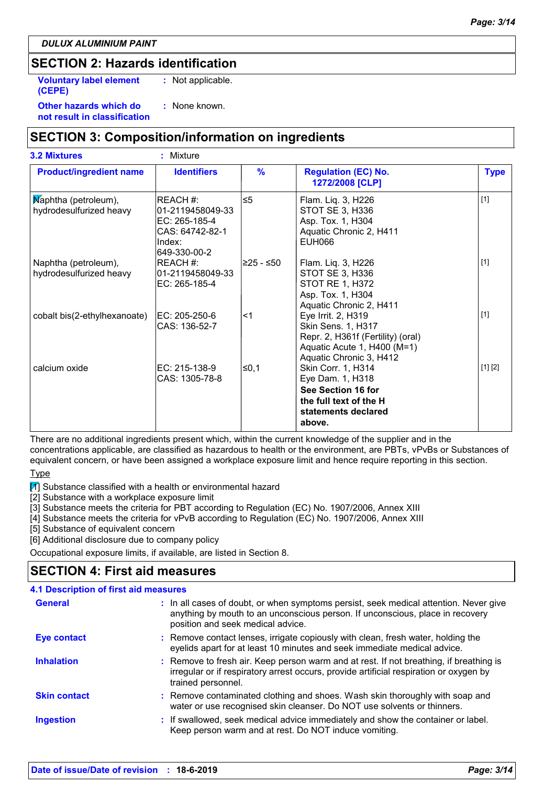#### *DULUX ALUMINIUM PAINT*

### **SECTION 2: Hazards identification**

: None known. **Voluntary label element (CEPE) :** Not applicable.

**Other hazards which do : not result in classification**

### **SECTION 3: Composition/information on ingredients**

| <b>3.2 Mixtures</b>                             | : Mixture                                                                                  |               |                                                                                                                                         |             |
|-------------------------------------------------|--------------------------------------------------------------------------------------------|---------------|-----------------------------------------------------------------------------------------------------------------------------------------|-------------|
| <b>Product/ingredient name</b>                  | <b>Identifiers</b>                                                                         | $\frac{9}{6}$ | <b>Regulation (EC) No.</b><br>1272/2008 [CLP]                                                                                           | <b>Type</b> |
| Maphtha (petroleum),<br>hydrodesulfurized heavy | REACH #:<br>01-2119458049-33<br>EC: 265-185-4<br>CAS: 64742-82-1<br>Index:<br>649-330-00-2 | $\leq 5$      | Flam. Liq. 3, H226<br>STOT SE 3, H336<br>Asp. Tox. 1, H304<br>Aquatic Chronic 2, H411<br><b>EUH066</b>                                  | $[1]$       |
| Naphtha (petroleum),<br>hydrodesulfurized heavy | REACH #:<br>01-2119458049-33<br>EC: 265-185-4                                              | ≥25 - ≤50     | Flam. Liq. 3, H226<br>STOT SE 3, H336<br><b>STOT RE 1, H372</b><br>Asp. Tox. 1, H304<br>Aquatic Chronic 2, H411                         | $[1]$       |
| cobalt bis(2-ethylhexanoate)                    | EC: 205-250-6<br>CAS: 136-52-7                                                             | $<$ 1         | Eye Irrit. 2, H319<br>Skin Sens. 1, H317<br>Repr. 2, H361f (Fertility) (oral)<br>Aquatic Acute 1, H400 (M=1)<br>Aquatic Chronic 3, H412 | $[1]$       |
| calcium oxide                                   | EC: 215-138-9<br>CAS: 1305-78-8                                                            | $\leq$ 0,1    | Skin Corr. 1, H314<br>Eye Dam. 1, H318<br>See Section 16 for<br>the full text of the H<br>statements declared<br>above.                 | [1] [2]     |

There are no additional ingredients present which, within the current knowledge of the supplier and in the concentrations applicable, are classified as hazardous to health or the environment, are PBTs, vPvBs or Substances of

equivalent concern, or have been assigned a workplace exposure limit and hence require reporting in this section. **Type** 

 $\mathbb{Z}$  Substance classified with a health or environmental hazard

[2] Substance with a workplace exposure limit

[3] Substance meets the criteria for PBT according to Regulation (EC) No. 1907/2006, Annex XIII

[4] Substance meets the criteria for vPvB according to Regulation (EC) No. 1907/2006, Annex XIII

[5] Substance of equivalent concern

[6] Additional disclosure due to company policy

Occupational exposure limits, if available, are listed in Section 8.

### **SECTION 4: First aid measures**

### **4.1 Description of first aid measures**

| <b>General</b>      | : In all cases of doubt, or when symptoms persist, seek medical attention. Never give<br>anything by mouth to an unconscious person. If unconscious, place in recovery<br>position and seek medical advice. |
|---------------------|-------------------------------------------------------------------------------------------------------------------------------------------------------------------------------------------------------------|
| <b>Eye contact</b>  | : Remove contact lenses, irrigate copiously with clean, fresh water, holding the<br>eyelids apart for at least 10 minutes and seek immediate medical advice.                                                |
| <b>Inhalation</b>   | : Remove to fresh air. Keep person warm and at rest. If not breathing, if breathing is<br>irregular or if respiratory arrest occurs, provide artificial respiration or oxygen by<br>trained personnel.      |
| <b>Skin contact</b> | : Remove contaminated clothing and shoes. Wash skin thoroughly with soap and<br>water or use recognised skin cleanser. Do NOT use solvents or thinners.                                                     |
| <b>Ingestion</b>    | : If swallowed, seek medical advice immediately and show the container or label.<br>Keep person warm and at rest. Do NOT induce vomiting.                                                                   |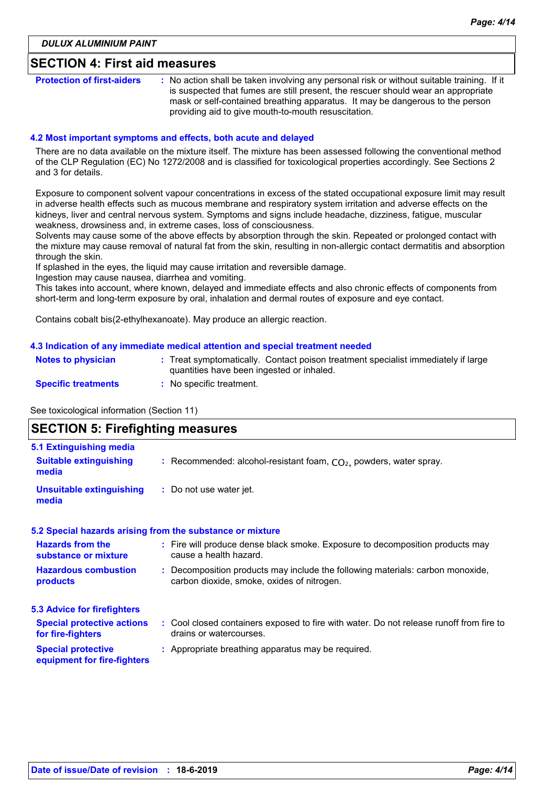### **SECTION 4: First aid measures**

**Protection of first-aiders** : No action shall be taken involving any personal risk or without suitable training. If it is suspected that fumes are still present, the rescuer should wear an appropriate mask or self-contained breathing apparatus. It may be dangerous to the person providing aid to give mouth-to-mouth resuscitation.

#### **4.2 Most important symptoms and effects, both acute and delayed**

There are no data available on the mixture itself. The mixture has been assessed following the conventional method of the CLP Regulation (EC) No 1272/2008 and is classified for toxicological properties accordingly. See Sections 2 and 3 for details.

Exposure to component solvent vapour concentrations in excess of the stated occupational exposure limit may result in adverse health effects such as mucous membrane and respiratory system irritation and adverse effects on the kidneys, liver and central nervous system. Symptoms and signs include headache, dizziness, fatigue, muscular weakness, drowsiness and, in extreme cases, loss of consciousness.

Solvents may cause some of the above effects by absorption through the skin. Repeated or prolonged contact with the mixture may cause removal of natural fat from the skin, resulting in non-allergic contact dermatitis and absorption through the skin.

If splashed in the eyes, the liquid may cause irritation and reversible damage.

Ingestion may cause nausea, diarrhea and vomiting.

This takes into account, where known, delayed and immediate effects and also chronic effects of components from short-term and long-term exposure by oral, inhalation and dermal routes of exposure and eye contact.

Contains cobalt bis(2-ethylhexanoate). May produce an allergic reaction.

#### **4.3 Indication of any immediate medical attention and special treatment needed**

| <b>Notes to physician</b>  | : Treat symptomatically. Contact poison treatment specialist immediately if large<br>quantities have been ingested or inhaled. |
|----------------------------|--------------------------------------------------------------------------------------------------------------------------------|
| <b>Specific treatments</b> | No specific treatment.                                                                                                         |

See toxicological information (Section 11)

### **SECTION 5: Firefighting measures**

| 5.1 Extinguishing media                                  |                                                                                                                              |
|----------------------------------------------------------|------------------------------------------------------------------------------------------------------------------------------|
| <b>Suitable extinguishing</b><br>media                   | : Recommended: alcohol-resistant foam, $CO2$ , powders, water spray.                                                         |
| <b>Unsuitable extinguishing</b><br>media                 | : Do not use water jet.                                                                                                      |
|                                                          | 5.2 Special hazards arising from the substance or mixture                                                                    |
| <b>Hazards from the</b><br>substance or mixture          | : Fire will produce dense black smoke. Exposure to decomposition products may<br>cause a health hazard.                      |
| <b>Hazardous combustion</b><br>products                  | : Decomposition products may include the following materials: carbon monoxide,<br>carbon dioxide, smoke, oxides of nitrogen. |
| <b>5.3 Advice for firefighters</b>                       |                                                                                                                              |
| <b>Special protective actions</b><br>for fire-fighters   | : Cool closed containers exposed to fire with water. Do not release runoff from fire to<br>drains or watercourses.           |
| <b>Special protective</b><br>equipment for fire-fighters | : Appropriate breathing apparatus may be required.                                                                           |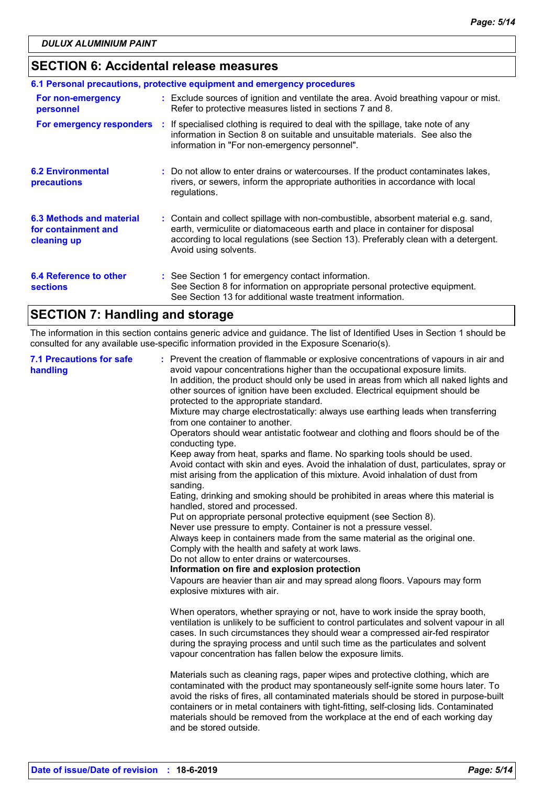### **SECTION 6: Accidental release measures**

|                                                                |    | 6.1 Personal precautions, protective equipment and emergency procedures                                                                                                                                                                                                            |
|----------------------------------------------------------------|----|------------------------------------------------------------------------------------------------------------------------------------------------------------------------------------------------------------------------------------------------------------------------------------|
| For non-emergency<br>personnel                                 |    | : Exclude sources of ignition and ventilate the area. Avoid breathing vapour or mist.<br>Refer to protective measures listed in sections 7 and 8.                                                                                                                                  |
| For emergency responders                                       | ÷. | If specialised clothing is required to deal with the spillage, take note of any<br>information in Section 8 on suitable and unsuitable materials. See also the<br>information in "For non-emergency personnel".                                                                    |
| <b>6.2 Environmental</b><br>precautions                        |    | : Do not allow to enter drains or watercourses. If the product contaminates lakes,<br>rivers, or sewers, inform the appropriate authorities in accordance with local<br>requiations.                                                                                               |
| 6.3 Methods and material<br>for containment and<br>cleaning up |    | : Contain and collect spillage with non-combustible, absorbent material e.g. sand,<br>earth, vermiculite or diatomaceous earth and place in container for disposal<br>according to local regulations (see Section 13). Preferably clean with a detergent.<br>Avoid using solvents. |
| 6.4 Reference to other<br><b>sections</b>                      |    | : See Section 1 for emergency contact information.<br>See Section 8 for information on appropriate personal protective equipment.<br>See Section 13 for additional waste treatment information.                                                                                    |

### **SECTION 7: Handling and storage**

The information in this section contains generic advice and guidance. The list of Identified Uses in Section 1 should be consulted for any available use-specific information provided in the Exposure Scenario(s).

| <b>7.1 Precautions for safe</b><br>handling | : Prevent the creation of flammable or explosive concentrations of vapours in air and<br>avoid vapour concentrations higher than the occupational exposure limits.<br>In addition, the product should only be used in areas from which all naked lights and<br>other sources of ignition have been excluded. Electrical equipment should be<br>protected to the appropriate standard.<br>Mixture may charge electrostatically: always use earthing leads when transferring<br>from one container to another.<br>Operators should wear antistatic footwear and clothing and floors should be of the<br>conducting type.<br>Keep away from heat, sparks and flame. No sparking tools should be used.<br>Avoid contact with skin and eyes. Avoid the inhalation of dust, particulates, spray or<br>mist arising from the application of this mixture. Avoid inhalation of dust from<br>sanding.<br>Eating, drinking and smoking should be prohibited in areas where this material is<br>handled, stored and processed.<br>Put on appropriate personal protective equipment (see Section 8).<br>Never use pressure to empty. Container is not a pressure vessel.<br>Always keep in containers made from the same material as the original one.<br>Comply with the health and safety at work laws.<br>Do not allow to enter drains or watercourses.<br>Information on fire and explosion protection<br>Vapours are heavier than air and may spread along floors. Vapours may form<br>explosive mixtures with air.<br>When operators, whether spraying or not, have to work inside the spray booth,<br>ventilation is unlikely to be sufficient to control particulates and solvent vapour in all<br>cases. In such circumstances they should wear a compressed air-fed respirator<br>during the spraying process and until such time as the particulates and solvent<br>vapour concentration has fallen below the exposure limits. |
|---------------------------------------------|-------------------------------------------------------------------------------------------------------------------------------------------------------------------------------------------------------------------------------------------------------------------------------------------------------------------------------------------------------------------------------------------------------------------------------------------------------------------------------------------------------------------------------------------------------------------------------------------------------------------------------------------------------------------------------------------------------------------------------------------------------------------------------------------------------------------------------------------------------------------------------------------------------------------------------------------------------------------------------------------------------------------------------------------------------------------------------------------------------------------------------------------------------------------------------------------------------------------------------------------------------------------------------------------------------------------------------------------------------------------------------------------------------------------------------------------------------------------------------------------------------------------------------------------------------------------------------------------------------------------------------------------------------------------------------------------------------------------------------------------------------------------------------------------------------------------------------------------------------------------------------------------------------------------------------|
|                                             | Materials such as cleaning rags, paper wipes and protective clothing, which are<br>contaminated with the product may spontaneously self-ignite some hours later. To<br>avoid the risks of fires, all contaminated materials should be stored in purpose-built<br>containers or in metal containers with tight-fitting, self-closing lids. Contaminated<br>materials should be removed from the workplace at the end of each working day<br>and be stored outside.                                                                                                                                                                                                                                                                                                                                                                                                                                                                                                                                                                                                                                                                                                                                                                                                                                                                                                                                                                                                                                                                                                                                                                                                                                                                                                                                                                                                                                                             |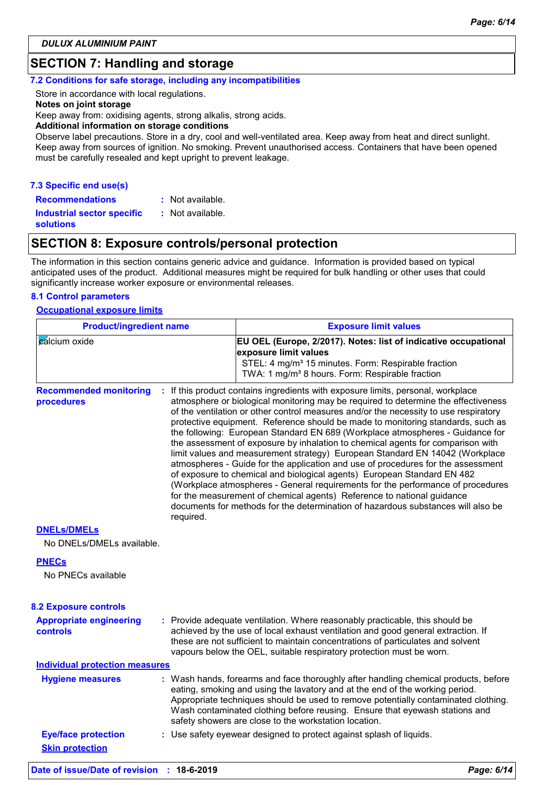### **SECTION 7: Handling and storage**

#### **7.2 Conditions for safe storage, including any incompatibilities**

Store in accordance with local regulations.

**Notes on joint storage**

Keep away from: oxidising agents, strong alkalis, strong acids.

**Additional information on storage conditions**

Observe label precautions. Store in a dry, cool and well-ventilated area. Keep away from heat and direct sunlight. Keep away from sources of ignition. No smoking. Prevent unauthorised access. Containers that have been opened must be carefully resealed and kept upright to prevent leakage.

#### **7.3 Specific end use(s)**

**Recommendations :**

: Not available.

**Industrial sector specific : solutions** : Not available.

### **SECTION 8: Exposure controls/personal protection**

The information in this section contains generic advice and guidance. Information is provided based on typical anticipated uses of the product. Additional measures might be required for bulk handling or other uses that could significantly increase worker exposure or environmental releases.

#### **8.1 Control parameters**

#### **Occupational exposure limits**

| <b>Product/ingredient name</b>              |           | <b>Exposure limit values</b>                                                                                                                                                                                                                                                                                                                                                                                                                                                                                                                                                                                                                                                                                                                                                                                                                                                                                                                                                                                          |  |  |
|---------------------------------------------|-----------|-----------------------------------------------------------------------------------------------------------------------------------------------------------------------------------------------------------------------------------------------------------------------------------------------------------------------------------------------------------------------------------------------------------------------------------------------------------------------------------------------------------------------------------------------------------------------------------------------------------------------------------------------------------------------------------------------------------------------------------------------------------------------------------------------------------------------------------------------------------------------------------------------------------------------------------------------------------------------------------------------------------------------|--|--|
| cálcium oxide                               |           | EU OEL (Europe, 2/2017). Notes: list of indicative occupational<br>exposure limit values<br>STEL: 4 mg/m <sup>3</sup> 15 minutes. Form: Respirable fraction<br>TWA: 1 mg/m <sup>3</sup> 8 hours. Form: Respirable fraction                                                                                                                                                                                                                                                                                                                                                                                                                                                                                                                                                                                                                                                                                                                                                                                            |  |  |
| <b>Recommended monitoring</b><br>procedures | required. | : If this product contains ingredients with exposure limits, personal, workplace<br>atmosphere or biological monitoring may be required to determine the effectiveness<br>of the ventilation or other control measures and/or the necessity to use respiratory<br>protective equipment. Reference should be made to monitoring standards, such as<br>the following: European Standard EN 689 (Workplace atmospheres - Guidance for<br>the assessment of exposure by inhalation to chemical agents for comparison with<br>limit values and measurement strategy) European Standard EN 14042 (Workplace<br>atmospheres - Guide for the application and use of procedures for the assessment<br>of exposure to chemical and biological agents) European Standard EN 482<br>(Workplace atmospheres - General requirements for the performance of procedures<br>for the measurement of chemical agents) Reference to national guidance<br>documents for methods for the determination of hazardous substances will also be |  |  |
| <b>DNELS/DMELS</b>                          |           |                                                                                                                                                                                                                                                                                                                                                                                                                                                                                                                                                                                                                                                                                                                                                                                                                                                                                                                                                                                                                       |  |  |
| No DNELs/DMELs available.                   |           |                                                                                                                                                                                                                                                                                                                                                                                                                                                                                                                                                                                                                                                                                                                                                                                                                                                                                                                                                                                                                       |  |  |
| <b>PNECs</b><br>No PNECs available          |           |                                                                                                                                                                                                                                                                                                                                                                                                                                                                                                                                                                                                                                                                                                                                                                                                                                                                                                                                                                                                                       |  |  |
| <b>8.2 Exposure controls</b>                |           |                                                                                                                                                                                                                                                                                                                                                                                                                                                                                                                                                                                                                                                                                                                                                                                                                                                                                                                                                                                                                       |  |  |
| <b>Appropriate engineering</b><br>controls  |           | : Provide adequate ventilation. Where reasonably practicable, this should be<br>achieved by the use of local exhaust ventilation and good general extraction. If<br>these are not sufficient to maintain concentrations of particulates and solvent<br>vapours below the OEL, suitable respiratory protection must be worn.                                                                                                                                                                                                                                                                                                                                                                                                                                                                                                                                                                                                                                                                                           |  |  |
| <b>Individual protection measures</b>       |           |                                                                                                                                                                                                                                                                                                                                                                                                                                                                                                                                                                                                                                                                                                                                                                                                                                                                                                                                                                                                                       |  |  |
| <b>Hygiene measures</b>                     |           | : Wash hands, forearms and face thoroughly after handling chemical products, before<br>eating, smoking and using the lavatory and at the end of the working period.<br>Appropriate techniques should be used to remove potentially contaminated clothing.<br>Wash contaminated clothing before reusing. Ensure that eyewash stations and<br>safety showers are close to the workstation location.                                                                                                                                                                                                                                                                                                                                                                                                                                                                                                                                                                                                                     |  |  |
| <b>Eye/face protection</b>                  |           | : Use safety eyewear designed to protect against splash of liquids.                                                                                                                                                                                                                                                                                                                                                                                                                                                                                                                                                                                                                                                                                                                                                                                                                                                                                                                                                   |  |  |
| <b>Skin protection</b>                      |           |                                                                                                                                                                                                                                                                                                                                                                                                                                                                                                                                                                                                                                                                                                                                                                                                                                                                                                                                                                                                                       |  |  |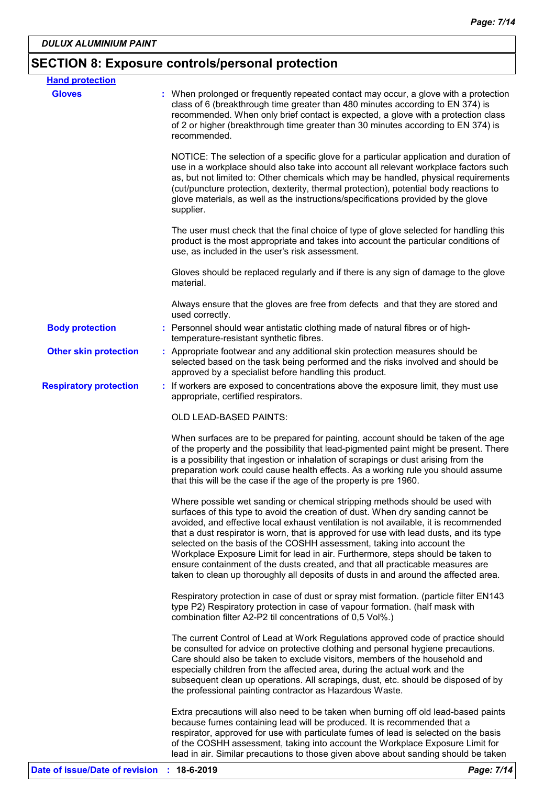## **SECTION 8: Exposure controls/personal protection**

| <b>Hand protection</b>        |                                                                                                                                                                                                                                                                                                                                                                                                                                                                                                                                                                                                                                                                                         |  |
|-------------------------------|-----------------------------------------------------------------------------------------------------------------------------------------------------------------------------------------------------------------------------------------------------------------------------------------------------------------------------------------------------------------------------------------------------------------------------------------------------------------------------------------------------------------------------------------------------------------------------------------------------------------------------------------------------------------------------------------|--|
| <b>Gloves</b>                 | : When prolonged or frequently repeated contact may occur, a glove with a protection<br>class of 6 (breakthrough time greater than 480 minutes according to EN 374) is<br>recommended. When only brief contact is expected, a glove with a protection class<br>of 2 or higher (breakthrough time greater than 30 minutes according to EN 374) is<br>recommended.                                                                                                                                                                                                                                                                                                                        |  |
|                               | NOTICE: The selection of a specific glove for a particular application and duration of<br>use in a workplace should also take into account all relevant workplace factors such<br>as, but not limited to: Other chemicals which may be handled, physical requirements<br>(cut/puncture protection, dexterity, thermal protection), potential body reactions to<br>glove materials, as well as the instructions/specifications provided by the glove<br>supplier.                                                                                                                                                                                                                        |  |
|                               | The user must check that the final choice of type of glove selected for handling this<br>product is the most appropriate and takes into account the particular conditions of<br>use, as included in the user's risk assessment.                                                                                                                                                                                                                                                                                                                                                                                                                                                         |  |
|                               | Gloves should be replaced regularly and if there is any sign of damage to the glove<br>material.                                                                                                                                                                                                                                                                                                                                                                                                                                                                                                                                                                                        |  |
|                               | Always ensure that the gloves are free from defects and that they are stored and<br>used correctly.                                                                                                                                                                                                                                                                                                                                                                                                                                                                                                                                                                                     |  |
| <b>Body protection</b>        | : Personnel should wear antistatic clothing made of natural fibres or of high-<br>temperature-resistant synthetic fibres.                                                                                                                                                                                                                                                                                                                                                                                                                                                                                                                                                               |  |
| <b>Other skin protection</b>  | : Appropriate footwear and any additional skin protection measures should be<br>selected based on the task being performed and the risks involved and should be<br>approved by a specialist before handling this product.                                                                                                                                                                                                                                                                                                                                                                                                                                                               |  |
| <b>Respiratory protection</b> | : If workers are exposed to concentrations above the exposure limit, they must use<br>appropriate, certified respirators.                                                                                                                                                                                                                                                                                                                                                                                                                                                                                                                                                               |  |
|                               | OLD LEAD-BASED PAINTS:                                                                                                                                                                                                                                                                                                                                                                                                                                                                                                                                                                                                                                                                  |  |
|                               | When surfaces are to be prepared for painting, account should be taken of the age<br>of the property and the possibility that lead-pigmented paint might be present. There<br>is a possibility that ingestion or inhalation of scrapings or dust arising from the<br>preparation work could cause health effects. As a working rule you should assume<br>that this will be the case if the age of the property is pre 1960.                                                                                                                                                                                                                                                             |  |
|                               | Where possible wet sanding or chemical stripping methods should be used with<br>surfaces of this type to avoid the creation of dust. When dry sanding cannot be<br>avoided, and effective local exhaust ventilation is not available, it is recommended<br>that a dust respirator is worn, that is approved for use with lead dusts, and its type<br>selected on the basis of the COSHH assessment, taking into account the<br>Workplace Exposure Limit for lead in air. Furthermore, steps should be taken to<br>ensure containment of the dusts created, and that all practicable measures are<br>taken to clean up thoroughly all deposits of dusts in and around the affected area. |  |
|                               | Respiratory protection in case of dust or spray mist formation. (particle filter EN143<br>type P2) Respiratory protection in case of vapour formation. (half mask with<br>combination filter A2-P2 til concentrations of 0,5 Vol%.)                                                                                                                                                                                                                                                                                                                                                                                                                                                     |  |
|                               | The current Control of Lead at Work Regulations approved code of practice should<br>be consulted for advice on protective clothing and personal hygiene precautions.<br>Care should also be taken to exclude visitors, members of the household and<br>especially children from the affected area, during the actual work and the<br>subsequent clean up operations. All scrapings, dust, etc. should be disposed of by<br>the professional painting contractor as Hazardous Waste.                                                                                                                                                                                                     |  |
|                               | Extra precautions will also need to be taken when burning off old lead-based paints<br>because fumes containing lead will be produced. It is recommended that a<br>respirator, approved for use with particulate fumes of lead is selected on the basis<br>of the COSHH assessment, taking into account the Workplace Exposure Limit for<br>lead in air. Similar precautions to those given above about sanding should be taken                                                                                                                                                                                                                                                         |  |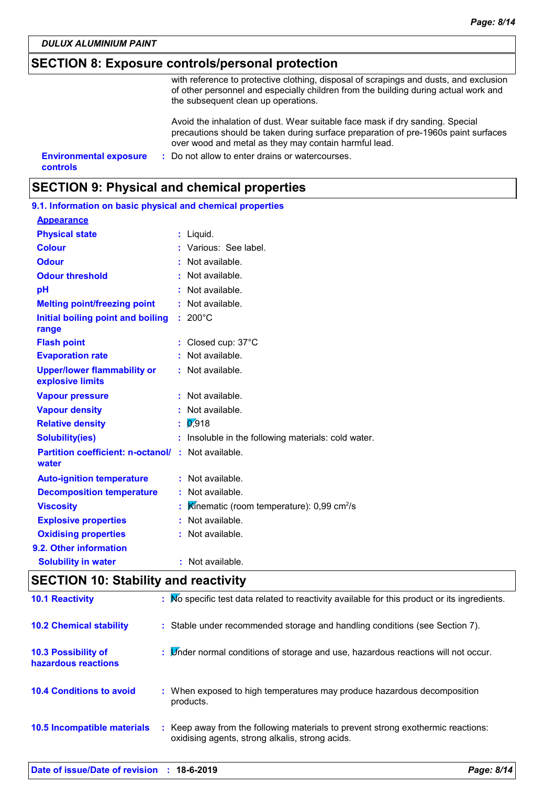*DULUX ALUMINIUM PAINT*

### **SECTION 8: Exposure controls/personal protection**

with reference to protective clothing, disposal of scrapings and dusts, and exclusion of other personnel and especially children from the building during actual work and the subsequent clean up operations.

Avoid the inhalation of dust. Wear suitable face mask if dry sanding. Special precautions should be taken during surface preparation of pre-1960s paint surfaces over wood and metal as they may contain harmful lead.

**Environmental exposure : Do not allow to enter drains or watercourses. controls**

### **SECTION 9: Physical and chemical properties**

| 9.1. Information on basic physical and chemical properties         |                                                              |
|--------------------------------------------------------------------|--------------------------------------------------------------|
| <b>Appearance</b>                                                  |                                                              |
| <b>Physical state</b>                                              | : Liquid.                                                    |
| <b>Colour</b>                                                      | : Various: See label.                                        |
| <b>Odour</b>                                                       | : Not available.                                             |
| <b>Odour threshold</b>                                             | : Not available.                                             |
| pH                                                                 | : Not available.                                             |
| <b>Melting point/freezing point</b>                                | $:$ Not available.                                           |
| Initial boiling point and boiling<br>range                         | $: 200^{\circ}$ C                                            |
| <b>Flash point</b>                                                 | : Closed cup: $37^{\circ}$ C                                 |
| <b>Evaporation rate</b>                                            | : Not available.                                             |
| <b>Upper/lower flammability or</b><br>explosive limits             | : Not available.                                             |
| <b>Vapour pressure</b>                                             | $:$ Not available.                                           |
| <b>Vapour density</b>                                              | : Not available.                                             |
| <b>Relative density</b>                                            | $\frac{1}{2}$ 0.918                                          |
| <b>Solubility(ies)</b>                                             | : Insoluble in the following materials: cold water.          |
| <b>Partition coefficient: n-octanol/ : Not available.</b><br>water |                                                              |
| <b>Auto-ignition temperature</b>                                   | : Not available.                                             |
| <b>Decomposition temperature</b>                                   | : Not available.                                             |
| <b>Viscosity</b>                                                   | : Kinematic (room temperature): $0.99 \text{ cm}^2/\text{s}$ |
| <b>Explosive properties</b>                                        | : Not available.                                             |
| <b>Oxidising properties</b>                                        | : Not available.                                             |
| 9.2. Other information                                             |                                                              |
| <b>Solubility in water</b>                                         | : Not available.                                             |

### **SECTION 10: Stability and reactivity**

| <b>10.1 Reactivity</b>                            | : No specific test data related to reactivity available for this product or its ingredients.                                        |
|---------------------------------------------------|-------------------------------------------------------------------------------------------------------------------------------------|
| <b>10.2 Chemical stability</b>                    | : Stable under recommended storage and handling conditions (see Section 7).                                                         |
| <b>10.3 Possibility of</b><br>hazardous reactions | : Linder normal conditions of storage and use, hazardous reactions will not occur.                                                  |
| <b>10.4 Conditions to avoid</b>                   | : When exposed to high temperatures may produce hazardous decomposition<br>products.                                                |
| 10.5 Incompatible materials                       | : Keep away from the following materials to prevent strong exothermic reactions:<br>oxidising agents, strong alkalis, strong acids. |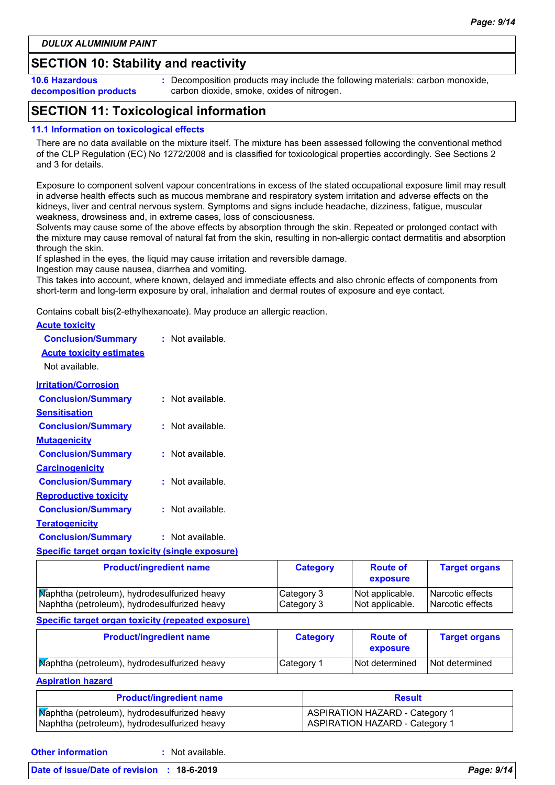### **SECTION 10: Stability and reactivity**

**10.6 Hazardous decomposition products** **:** Decomposition products may include the following materials: carbon monoxide, carbon dioxide, smoke, oxides of nitrogen.

### **SECTION 11: Toxicological information**

#### **11.1 Information on toxicological effects**

There are no data available on the mixture itself. The mixture has been assessed following the conventional method of the CLP Regulation (EC) No 1272/2008 and is classified for toxicological properties accordingly. See Sections 2 and 3 for details.

Exposure to component solvent vapour concentrations in excess of the stated occupational exposure limit may result in adverse health effects such as mucous membrane and respiratory system irritation and adverse effects on the kidneys, liver and central nervous system. Symptoms and signs include headache, dizziness, fatigue, muscular weakness, drowsiness and, in extreme cases, loss of consciousness.

Solvents may cause some of the above effects by absorption through the skin. Repeated or prolonged contact with the mixture may cause removal of natural fat from the skin, resulting in non-allergic contact dermatitis and absorption through the skin.

If splashed in the eyes, the liquid may cause irritation and reversible damage.

Ingestion may cause nausea, diarrhea and vomiting.

This takes into account, where known, delayed and immediate effects and also chronic effects of components from short-term and long-term exposure by oral, inhalation and dermal routes of exposure and eye contact.

Contains cobalt bis(2-ethylhexanoate). May produce an allergic reaction.

| <b>Acute toxicity</b>                                   |                    |
|---------------------------------------------------------|--------------------|
| <b>Conclusion/Summary</b>                               | $:$ Not available. |
| <b>Acute toxicity estimates</b>                         |                    |
| Not available.                                          |                    |
| <b>Irritation/Corrosion</b>                             |                    |
| <b>Conclusion/Summary</b>                               | : Not available.   |
| Sensitisation                                           |                    |
| <b>Conclusion/Summary</b>                               | : Not available.   |
| <b>Mutagenicity</b>                                     |                    |
| <b>Conclusion/Summary</b>                               | $:$ Not available. |
| <b>Carcinogenicity</b>                                  |                    |
| <b>Conclusion/Summary</b>                               | : Not available.   |
| <b>Reproductive toxicity</b>                            |                    |
| <b>Conclusion/Summary</b>                               | $:$ Not available. |
| <u>Teratogenicity</u>                                   |                    |
| <b>Conclusion/Summary</b>                               | : Not available.   |
| <b>Specific target organ toxicity (single exposure)</b> |                    |

| <b>Product/ingredient name</b>                                                               | <b>Category</b>          | <b>Route of</b><br>exposure        | <b>Target organs</b>                   |
|----------------------------------------------------------------------------------------------|--------------------------|------------------------------------|----------------------------------------|
| Maphtha (petroleum), hydrodesulfurized heavy<br>Naphtha (petroleum), hydrodesulfurized heavy | Category 3<br>Category 3 | Not applicable.<br>Not applicable. | l Narcotic effects<br>Narcotic effects |
| Specific target organ toxicity (repeated exposure)                                           |                          |                                    |                                        |
| <b>Product/ingredient name</b>                                                               | <b>Category</b>          | <b>Route of</b><br>exposure        | <b>Target organs</b>                   |

| Maphtha (petroleum), hydrodesulfurized heavy | Category 1 | Not determined | Not determined |
|----------------------------------------------|------------|----------------|----------------|
| <b>Aspiration hazard</b>                     |            |                |                |

| <b>Product/ingredient name</b>               | <b>Result</b>                  |  |
|----------------------------------------------|--------------------------------|--|
| Maphtha (petroleum), hydrodesulfurized heavy | ASPIRATION HAZARD - Category 1 |  |
| Naphtha (petroleum), hydrodesulfurized heavy | ASPIRATION HAZARD - Category 1 |  |

**Other information :**

: Not available.

#### **Date of issue/Date of revision : 18-6-2019** *Page: 9/14*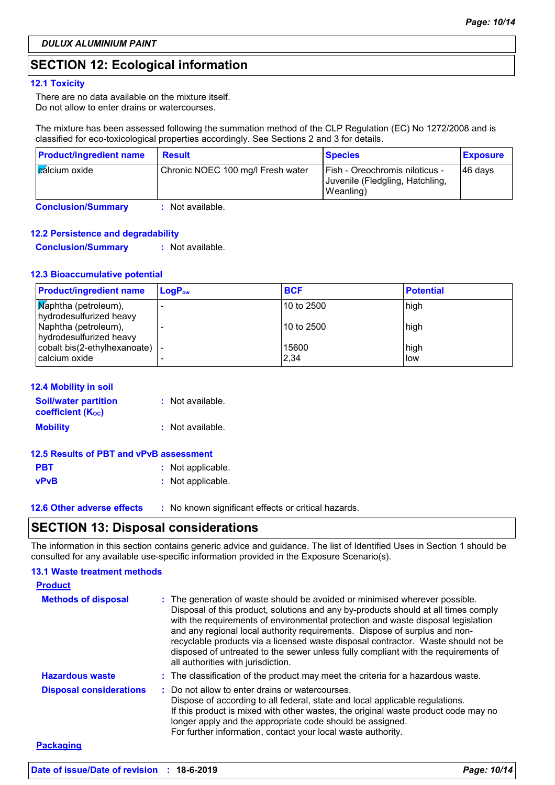### **SECTION 12: Ecological information**

#### **12.1 Toxicity**

There are no data available on the mixture itself. Do not allow to enter drains or watercourses.

The mixture has been assessed following the summation method of the CLP Regulation (EC) No 1272/2008 and is classified for eco-toxicological properties accordingly. See Sections 2 and 3 for details.

| <b>Product/ingredient name</b> | <b>Result</b>                     | <b>Species</b>                                                                 | <b>Exposure</b> |
|--------------------------------|-----------------------------------|--------------------------------------------------------------------------------|-----------------|
| <b>E</b> alcium oxide          | Chronic NOEC 100 mg/l Fresh water | Fish - Oreochromis niloticus -<br>Juvenile (Fledgling, Hatchling,<br>Weanling) | $ 46$ days      |

**Conclusion/Summary :** Not available.

#### **12.2 Persistence and degradability**

**Conclusion/Summary :** Not available.

#### **12.3 Bioaccumulative potential**

| <b>Product/ingredient name</b>                          | $\mathsf{LogP}_\mathsf{ow}$ | <b>BCF</b>    | <b>Potential</b>   |
|---------------------------------------------------------|-----------------------------|---------------|--------------------|
| <b>Maphtha</b> (petroleum),<br>hydrodesulfurized heavy  |                             | 10 to 2500    | high               |
| Naphtha (petroleum),<br>hydrodesulfurized heavy         |                             | 10 to 2500    | high               |
| cobalt bis(2-ethylhexanoate) $\vert$ -<br>calcium oxide |                             | 15600<br>2,34 | high<br><b>low</b> |

#### **12.4 Mobility in soil**

| <b>Soil/water partition</b><br><b>coefficient (Koc)</b> | : Not available. |
|---------------------------------------------------------|------------------|
| <b>Mobility</b>                                         | : Not available. |

| 12.5 Results of PBT and vPvB assessment |                   |  |
|-----------------------------------------|-------------------|--|
| <b>PBT</b>                              | : Not applicable. |  |
| vPvB                                    | : Not applicable. |  |

**12.6 Other adverse effects** : No known significant effects or critical hazards.

### **SECTION 13: Disposal considerations**

The information in this section contains generic advice and guidance. The list of Identified Uses in Section 1 should be consulted for any available use-specific information provided in the Exposure Scenario(s).

#### **Hazardous waste :** The classification of the product may meet the criteria for a hazardous waste. **Methods of disposal : 13.1 Waste treatment methods Product Packaging** The generation of waste should be avoided or minimised wherever possible. Disposal of this product, solutions and any by-products should at all times comply with the requirements of environmental protection and waste disposal legislation and any regional local authority requirements. Dispose of surplus and nonrecyclable products via a licensed waste disposal contractor. Waste should not be disposed of untreated to the sewer unless fully compliant with the requirements of all authorities with jurisdiction. Do not allow to enter drains or watercourses. Dispose of according to all federal, state and local applicable regulations. If this product is mixed with other wastes, the original waste product code may no longer apply and the appropriate code should be assigned. For further information, contact your local waste authority. **Disposal considerations :**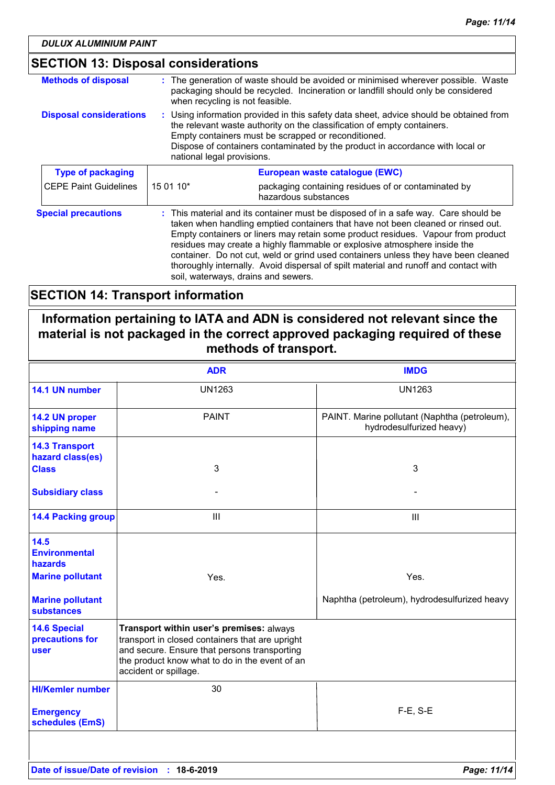| <b>SECTION 13: Disposal considerations</b> |                                                                                                                                                                                                                                                                                                                                                                                                                                                                                                                                                               |                                                                                                                                                                                                          |
|--------------------------------------------|---------------------------------------------------------------------------------------------------------------------------------------------------------------------------------------------------------------------------------------------------------------------------------------------------------------------------------------------------------------------------------------------------------------------------------------------------------------------------------------------------------------------------------------------------------------|----------------------------------------------------------------------------------------------------------------------------------------------------------------------------------------------------------|
| <b>Methods of disposal</b>                 |                                                                                                                                                                                                                                                                                                                                                                                                                                                                                                                                                               | : The generation of waste should be avoided or minimised wherever possible. Waste<br>packaging should be recycled. Incineration or landfill should only be considered<br>when recycling is not feasible. |
| <b>Disposal considerations</b>             | : Using information provided in this safety data sheet, advice should be obtained from<br>the relevant waste authority on the classification of empty containers.<br>Empty containers must be scrapped or reconditioned.<br>Dispose of containers contaminated by the product in accordance with local or<br>national legal provisions.                                                                                                                                                                                                                       |                                                                                                                                                                                                          |
| <b>Type of packaging</b>                   | European waste catalogue (EWC)                                                                                                                                                                                                                                                                                                                                                                                                                                                                                                                                |                                                                                                                                                                                                          |
| <b>CEPE Paint Guidelines</b>               | 15 01 10*                                                                                                                                                                                                                                                                                                                                                                                                                                                                                                                                                     | packaging containing residues of or contaminated by<br>hazardous substances                                                                                                                              |
| <b>Special precautions</b>                 | : This material and its container must be disposed of in a safe way. Care should be<br>taken when handling emptied containers that have not been cleaned or rinsed out.<br>Empty containers or liners may retain some product residues. Vapour from product<br>residues may create a highly flammable or explosive atmosphere inside the<br>container. Do not cut, weld or grind used containers unless they have been cleaned<br>thoroughly internally. Avoid dispersal of spilt material and runoff and contact with<br>soil, waterways, drains and sewers. |                                                                                                                                                                                                          |

### **SECTION 14: Transport information**

### **Information pertaining to IATA and ADN is considered not relevant since the material is not packaged in the correct approved packaging required of these methods of transport.**

|                                                | <b>ADR</b>                                                                                                                                                                                                             | <b>IMDG</b>                                                               |
|------------------------------------------------|------------------------------------------------------------------------------------------------------------------------------------------------------------------------------------------------------------------------|---------------------------------------------------------------------------|
| 14.1 UN number                                 | <b>UN1263</b>                                                                                                                                                                                                          | <b>UN1263</b>                                                             |
| 14.2 UN proper<br>shipping name                | <b>PAINT</b>                                                                                                                                                                                                           | PAINT. Marine pollutant (Naphtha (petroleum),<br>hydrodesulfurized heavy) |
| <b>14.3 Transport</b><br>hazard class(es)      |                                                                                                                                                                                                                        |                                                                           |
| <b>Class</b>                                   | 3                                                                                                                                                                                                                      | 3                                                                         |
| <b>Subsidiary class</b>                        |                                                                                                                                                                                                                        |                                                                           |
| <b>14.4 Packing group</b>                      | III                                                                                                                                                                                                                    | $\mathbf{III}$                                                            |
| 14.5<br><b>Environmental</b><br>hazards        |                                                                                                                                                                                                                        |                                                                           |
| <b>Marine pollutant</b>                        | Yes.                                                                                                                                                                                                                   | Yes.                                                                      |
| <b>Marine pollutant</b><br>substances          |                                                                                                                                                                                                                        | Naphtha (petroleum), hydrodesulfurized heavy                              |
| <b>14.6 Special</b><br>precautions for<br>user | Transport within user's premises: always<br>transport in closed containers that are upright<br>and secure. Ensure that persons transporting<br>the product know what to do in the event of an<br>accident or spillage. |                                                                           |
| <b>HI/Kemler number</b>                        | 30                                                                                                                                                                                                                     |                                                                           |
| <b>Emergency</b><br>schedules (EmS)            |                                                                                                                                                                                                                        | $F-E$ , S-E                                                               |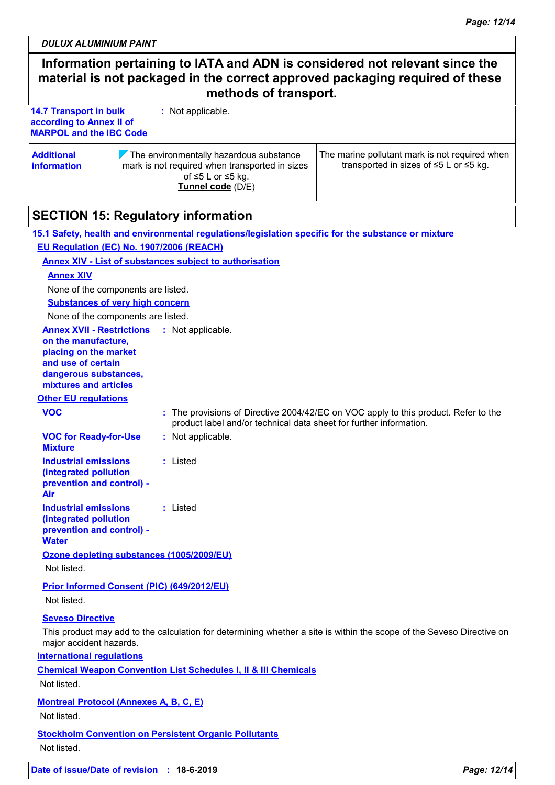*DULUX ALUMINIUM PAINT*

### **Information pertaining to IATA and ADN is considered not relevant since the material is not packaged in the correct approved packaging required of these methods of transport. 14.7 Transport in bulk according to Annex II of MARPOL and the IBC Code :** Not applicable. **Additional information**  $\sqrt{}$  The environmentally hazardous substance mark is not required when transported in sizes of ≤5 L or ≤5 kg. **Tunnel code** (D/E) The marine pollutant mark is not required when transported in sizes of ≤5 L or ≤5 kg. **SECTION 15: Regulatory information VOC for Ready-for-Use Mixture :** Not applicable. **15.1 Safety, health and environmental regulations/legislation specific for the substance or mixture Other EU regulations Annex XVII - Restrictions : Not applicable. on the manufacture, placing on the market and use of certain dangerous substances, mixtures and articles Industrial emissions (integrated pollution prevention and control) - Air :** Listed **Industrial emissions (integrated pollution prevention and control) - Water :** Listed **International regulations EU Regulation (EC) No. 1907/2006 (REACH) Annex XIV - List of substances subject to authorisation Annex XIV Substances of very high concern** None of the components are listed. None of the components are listed. **VOC :** The provisions of Directive 2004/42/EC on VOC apply to this product. Refer to the product label and/or technical data sheet for further information. **Seveso Directive** This product may add to the calculation for determining whether a site is within the scope of the Seveso Directive on major accident hazards. **Chemical Weapon Convention List Schedules I, II & III Chemicals Montreal Protocol (Annexes A, B, C, E)** Not listed. **Stockholm Convention on Persistent Organic Pollutants** Not listed. **Ozone depleting substances (1005/2009/EU)** Not listed. **Prior Informed Consent (PIC) (649/2012/EU)** Not listed.

**Date of issue/Date of revision : 18-6-2019** *Page: 12/14*

Not listed.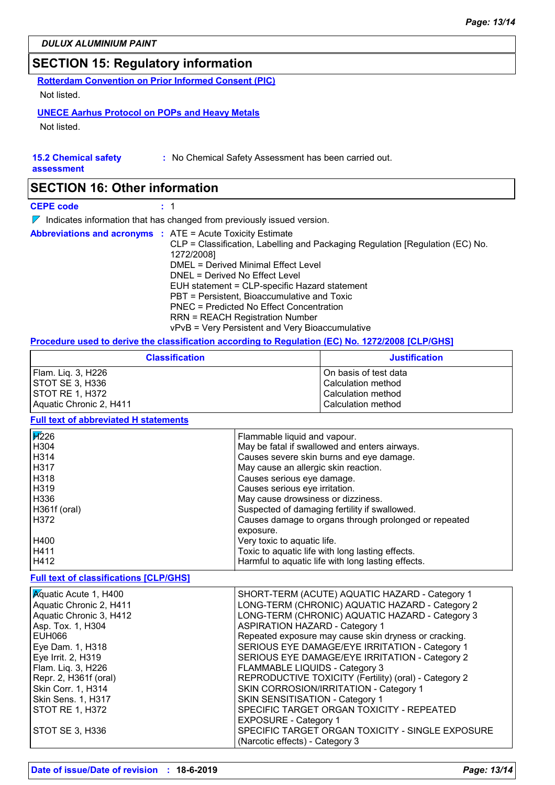### **SECTION 15: Regulatory information**

**Rotterdam Convention on Prior Informed Consent (PIC)** Not listed.

#### **UNECE Aarhus Protocol on POPs and Heavy Metals**

Not listed.

### **15.2 Chemical safety**

**:** No Chemical Safety Assessment has been carried out.

**assessment**

### **SECTION 16: Other information**

**CEPE code :** 1

 $\nabla$  Indicates information that has changed from previously issued version.

|  |  | <b>Abbreviations and acronyms : ATE = Acute Toxicity Estimate</b>             |
|--|--|-------------------------------------------------------------------------------|
|  |  | CLP = Classification, Labelling and Packaging Regulation [Regulation (EC) No. |
|  |  | 1272/2008]                                                                    |
|  |  | DMEL = Derived Minimal Effect Level                                           |
|  |  | DNEL = Derived No Effect Level                                                |
|  |  | EUH statement = CLP-specific Hazard statement                                 |
|  |  | PBT = Persistent, Bioaccumulative and Toxic                                   |
|  |  | <b>PNEC</b> = Predicted No Effect Concentration                               |
|  |  | <b>RRN = REACH Registration Number</b>                                        |
|  |  | vPvB = Very Persistent and Very Bioaccumulative                               |

#### **Procedure used to derive the classification according to Regulation (EC) No. 1272/2008 [CLP/GHS]**

| <b>Classification</b>   | <b>Justification</b>  |
|-------------------------|-----------------------|
| Flam. Liq. 3, H226      | On basis of test data |
| ISTOT SE 3. H336        | Calculation method    |
| ISTOT RE 1. H372        | Calculation method    |
| Aquatic Chronic 2, H411 | Calculation method    |

### **Full text of abbreviated H statements**

| $\overline{H}226$ | Flammable liquid and vapour.                          |
|-------------------|-------------------------------------------------------|
| H304              | May be fatal if swallowed and enters airways.         |
| H314              | Causes severe skin burns and eye damage.              |
| H317              | May cause an allergic skin reaction.                  |
| H318              | Causes serious eye damage.                            |
| H319              | Causes serious eye irritation.                        |
| H336              | May cause drowsiness or dizziness.                    |
| H361f (oral)      | Suspected of damaging fertility if swallowed.         |
| H372              | Causes damage to organs through prolonged or repeated |
|                   | exposure.                                             |
| H400              | Very toxic to aquatic life.                           |
| H411              | Toxic to aquatic life with long lasting effects.      |
| H412              | Harmful to aquatic life with long lasting effects.    |

#### **Full text of classifications [CLP/GHS]**

| <b>A</b> quatic Acute 1, H400 | SHORT-TERM (ACUTE) AQUATIC HAZARD - Category 1        |
|-------------------------------|-------------------------------------------------------|
| Aquatic Chronic 2, H411       | LONG-TERM (CHRONIC) AQUATIC HAZARD - Category 2       |
| Aquatic Chronic 3, H412       | LONG-TERM (CHRONIC) AQUATIC HAZARD - Category 3       |
| Asp. Tox. 1, H304             | <b>ASPIRATION HAZARD - Category 1</b>                 |
| EUH066                        | Repeated exposure may cause skin dryness or cracking. |
| Eye Dam. 1, H318              | SERIOUS EYE DAMAGE/EYE IRRITATION - Category 1        |
| Eye Irrit. 2, H319            | SERIOUS EYE DAMAGE/EYE IRRITATION - Category 2        |
| Flam. Liq. 3, H226            | FLAMMABLE LIQUIDS - Category 3                        |
| Repr. 2, H361f (oral)         | REPRODUCTIVE TOXICITY (Fertility) (oral) - Category 2 |
| Skin Corr. 1, H314            | SKIN CORROSION/IRRITATION - Category 1                |
| Skin Sens. 1, H317            | SKIN SENSITISATION - Category 1                       |
| STOT RE 1, H372               | SPECIFIC TARGET ORGAN TOXICITY - REPEATED             |
|                               | EXPOSURE - Category 1                                 |
| <b>STOT SE 3, H336</b>        | SPECIFIC TARGET ORGAN TOXICITY - SINGLE EXPOSURE      |
|                               | (Narcotic effects) - Category 3                       |